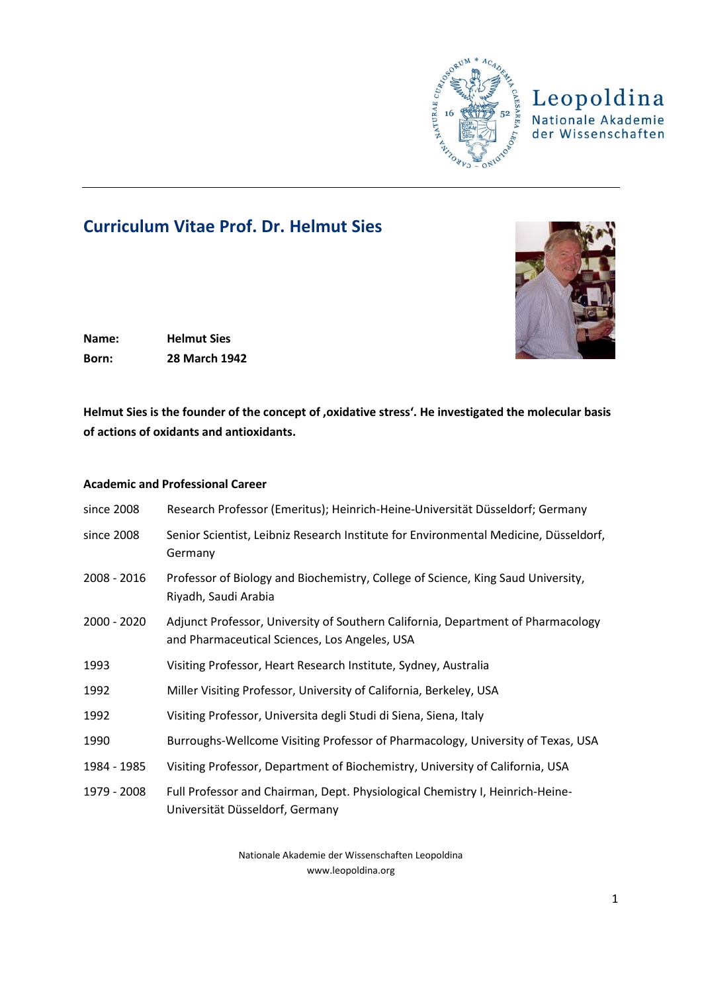

## Leopoldina Nationale Akademie der Wissenschaften

# **Curriculum Vitae Prof. Dr. Helmut Sies**



**Name: Helmut Sies Born: 28 March 1942**

Helmut Sies is the founder of the concept of , oxidative stress'. He investigated the molecular basis **of actions of oxidants and antioxidants.**

### **Academic and Professional Career**

| since 2008    | Research Professor (Emeritus); Heinrich-Heine-Universität Düsseldorf; Germany                                                     |
|---------------|-----------------------------------------------------------------------------------------------------------------------------------|
| since 2008    | Senior Scientist, Leibniz Research Institute for Environmental Medicine, Düsseldorf,<br>Germany                                   |
| $2008 - 2016$ | Professor of Biology and Biochemistry, College of Science, King Saud University,<br>Riyadh, Saudi Arabia                          |
| $2000 - 2020$ | Adjunct Professor, University of Southern California, Department of Pharmacology<br>and Pharmaceutical Sciences, Los Angeles, USA |
| 1993          | Visiting Professor, Heart Research Institute, Sydney, Australia                                                                   |
| 1992          | Miller Visiting Professor, University of California, Berkeley, USA                                                                |
| 1992          | Visiting Professor, Universita degli Studi di Siena, Siena, Italy                                                                 |
| 1990          | Burroughs-Wellcome Visiting Professor of Pharmacology, University of Texas, USA                                                   |
| 1984 - 1985   | Visiting Professor, Department of Biochemistry, University of California, USA                                                     |
| 1979 - 2008   | Full Professor and Chairman, Dept. Physiological Chemistry I, Heinrich-Heine-<br>Universität Düsseldorf, Germany                  |

Nationale Akademie der Wissenschaften Leopoldina www.leopoldina.org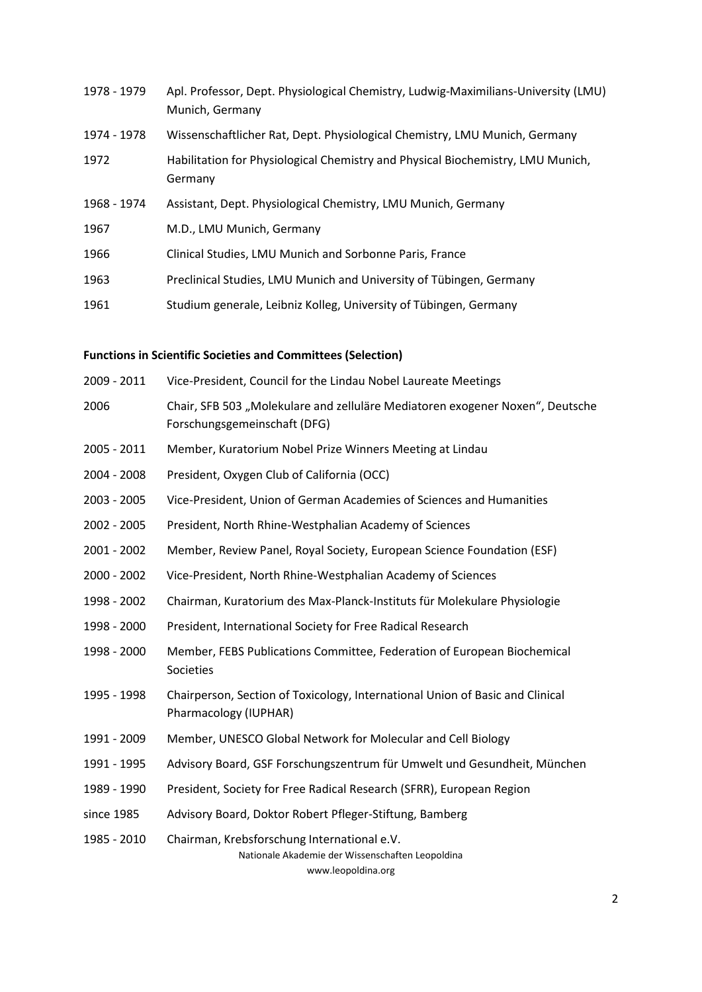| 1978 - 1979 | Apl. Professor, Dept. Physiological Chemistry, Ludwig-Maximilians-University (LMU)<br>Munich, Germany |
|-------------|-------------------------------------------------------------------------------------------------------|
| 1974 - 1978 | Wissenschaftlicher Rat, Dept. Physiological Chemistry, LMU Munich, Germany                            |
| 1972        | Habilitation for Physiological Chemistry and Physical Biochemistry, LMU Munich,<br>Germany            |
| 1968 - 1974 | Assistant, Dept. Physiological Chemistry, LMU Munich, Germany                                         |
| 1967        | M.D., LMU Munich, Germany                                                                             |
| 1966        | Clinical Studies, LMU Munich and Sorbonne Paris, France                                               |
| 1963        | Preclinical Studies, LMU Munich and University of Tübingen, Germany                                   |
| 1961        | Studium generale, Leibniz Kolleg, University of Tübingen, Germany                                     |

### **Functions in Scientific Societies and Committees (Selection)**

| 2009 - 2011 | Vice-President, Council for the Lindau Nobel Laureate Meetings                                                |
|-------------|---------------------------------------------------------------------------------------------------------------|
| 2006        | Chair, SFB 503 "Molekulare and zelluläre Mediatoren exogener Noxen", Deutsche<br>Forschungsgemeinschaft (DFG) |
| 2005 - 2011 | Member, Kuratorium Nobel Prize Winners Meeting at Lindau                                                      |
| 2004 - 2008 | President, Oxygen Club of California (OCC)                                                                    |
| 2003 - 2005 | Vice-President, Union of German Academies of Sciences and Humanities                                          |
| 2002 - 2005 | President, North Rhine-Westphalian Academy of Sciences                                                        |
| 2001 - 2002 | Member, Review Panel, Royal Society, European Science Foundation (ESF)                                        |
| 2000 - 2002 | Vice-President, North Rhine-Westphalian Academy of Sciences                                                   |
| 1998 - 2002 | Chairman, Kuratorium des Max-Planck-Instituts für Molekulare Physiologie                                      |
| 1998 - 2000 | President, International Society for Free Radical Research                                                    |
| 1998 - 2000 | Member, FEBS Publications Committee, Federation of European Biochemical<br>Societies                          |
| 1995 - 1998 | Chairperson, Section of Toxicology, International Union of Basic and Clinical<br>Pharmacology (IUPHAR)        |
| 1991 - 2009 | Member, UNESCO Global Network for Molecular and Cell Biology                                                  |
| 1991 - 1995 | Advisory Board, GSF Forschungszentrum für Umwelt und Gesundheit, München                                      |
| 1989 - 1990 | President, Society for Free Radical Research (SFRR), European Region                                          |
| since 1985  | Advisory Board, Doktor Robert Pfleger-Stiftung, Bamberg                                                       |
| 1985 - 2010 | Chairman, Krebsforschung International e.V.<br>Nationale Akademie der Wissenschaften Leopoldina               |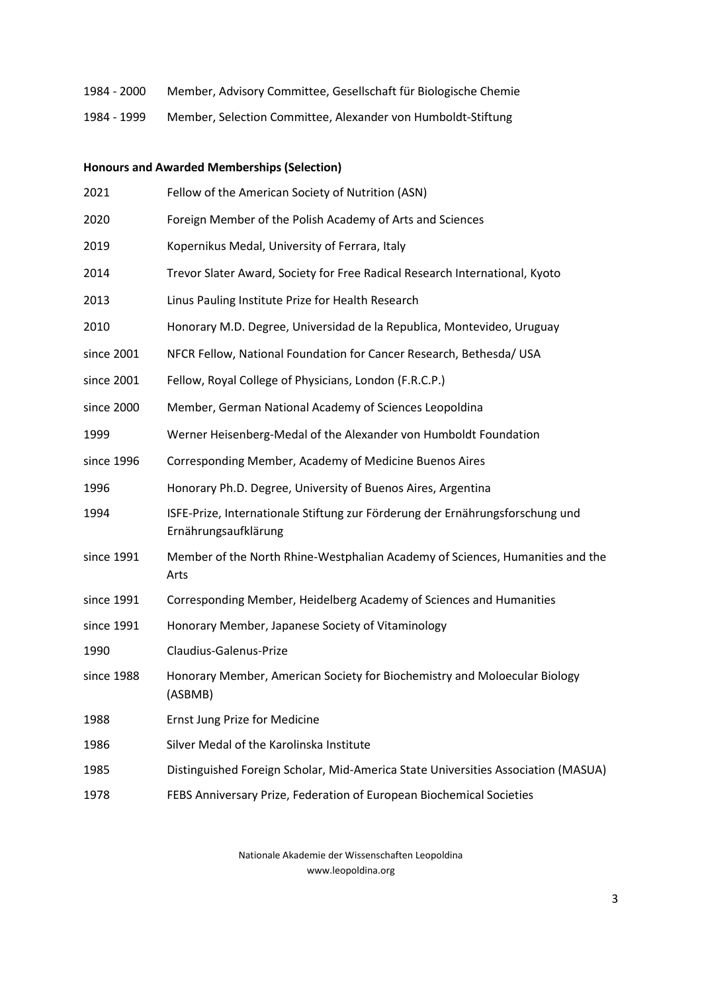- 1984 2000 Member, Advisory Committee, Gesellschaft für Biologische Chemie
- 1984 1999 Member, Selection Committee, Alexander von Humboldt-Stiftung

| <b>Honours and Awarded Memberships (Selection)</b> |                                                                                                       |  |
|----------------------------------------------------|-------------------------------------------------------------------------------------------------------|--|
| 2021                                               | Fellow of the American Society of Nutrition (ASN)                                                     |  |
| 2020                                               | Foreign Member of the Polish Academy of Arts and Sciences                                             |  |
| 2019                                               | Kopernikus Medal, University of Ferrara, Italy                                                        |  |
| 2014                                               | Trevor Slater Award, Society for Free Radical Research International, Kyoto                           |  |
| 2013                                               | Linus Pauling Institute Prize for Health Research                                                     |  |
| 2010                                               | Honorary M.D. Degree, Universidad de la Republica, Montevideo, Uruguay                                |  |
| since 2001                                         | NFCR Fellow, National Foundation for Cancer Research, Bethesda/ USA                                   |  |
| since 2001                                         | Fellow, Royal College of Physicians, London (F.R.C.P.)                                                |  |
| since 2000                                         | Member, German National Academy of Sciences Leopoldina                                                |  |
| 1999                                               | Werner Heisenberg-Medal of the Alexander von Humboldt Foundation                                      |  |
| since 1996                                         | Corresponding Member, Academy of Medicine Buenos Aires                                                |  |
| 1996                                               | Honorary Ph.D. Degree, University of Buenos Aires, Argentina                                          |  |
| 1994                                               | ISFE-Prize, Internationale Stiftung zur Förderung der Ernährungsforschung und<br>Ernährungsaufklärung |  |
| since 1991                                         | Member of the North Rhine-Westphalian Academy of Sciences, Humanities and the<br>Arts                 |  |
| since 1991                                         | Corresponding Member, Heidelberg Academy of Sciences and Humanities                                   |  |
| since 1991                                         | Honorary Member, Japanese Society of Vitaminology                                                     |  |
| 1990                                               | Claudius-Galenus-Prize                                                                                |  |
| since 1988                                         | Honorary Member, American Society for Biochemistry and Moloecular Biology<br>(ASBMB)                  |  |
| 1988                                               | Ernst Jung Prize for Medicine                                                                         |  |
| 1986                                               | Silver Medal of the Karolinska Institute                                                              |  |
| 1985                                               | Distinguished Foreign Scholar, Mid-America State Universities Association (MASUA)                     |  |
| 1978                                               | FEBS Anniversary Prize, Federation of European Biochemical Societies                                  |  |

Nationale Akademie der Wissenschaften Leopoldina www.leopoldina.org